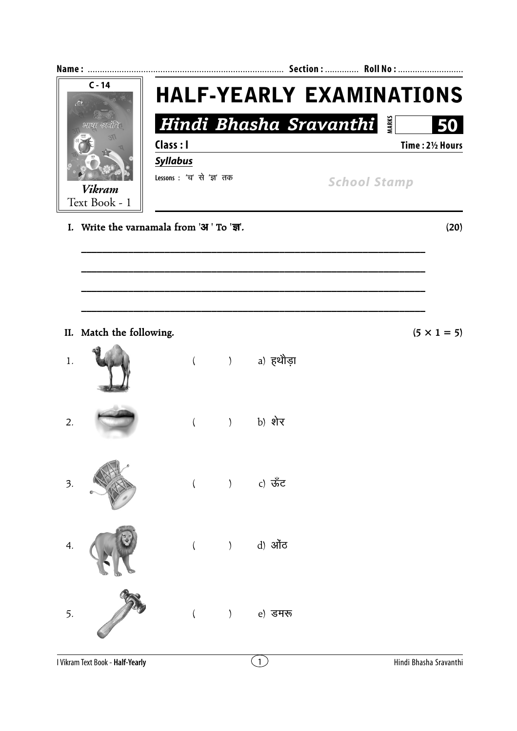| $C - 14$<br>$\frac{M}{C}$  |                          | <b>HALF-YEARLY EXAMINATIONS</b>          |                                               |              |                        |                    |  |
|----------------------------|--------------------------|------------------------------------------|-----------------------------------------------|--------------|------------------------|--------------------|--|
|                            |                          |                                          |                                               |              | Hindi Bhasha Sravanthi | 50                 |  |
|                            |                          | Class : I                                |                                               |              |                        | Time: 21/2 Hours   |  |
|                            |                          | <b>Syllabus</b>                          |                                               |              |                        |                    |  |
| <b>Vikram</b>              |                          | Lessons: 'च' से 'ज्ञ' तक                 |                                               |              | <b>School Stamp</b>    |                    |  |
|                            | Text Book - 1            |                                          |                                               |              |                        |                    |  |
|                            |                          | I. Write the varnamala from 'आ ' To 'জ'. |                                               |              |                        | (20)               |  |
|                            |                          |                                          |                                               |              |                        |                    |  |
|                            |                          |                                          |                                               |              |                        |                    |  |
|                            |                          |                                          |                                               |              |                        |                    |  |
|                            |                          |                                          |                                               |              |                        |                    |  |
|                            | II. Match the following. |                                          |                                               |              |                        | $(5 \times 1 = 5)$ |  |
| 1.                         |                          |                                          |                                               | () a) हथौड़ा |                        |                    |  |
|                            |                          |                                          |                                               |              |                        |                    |  |
| 2.                         |                          |                                          | $\left( \right)$                              | b) शेर       |                        |                    |  |
|                            |                          | $\left($                                 |                                               |              |                        |                    |  |
|                            |                          |                                          |                                               |              |                        |                    |  |
| $\overline{\mathcal{Z}}$ . |                          | $\overline{(\ }$                         | $\left( \begin{array}{c} \end{array} \right)$ | c) ऊँट       |                        |                    |  |
|                            |                          |                                          |                                               |              |                        |                    |  |
|                            |                          |                                          |                                               |              |                        |                    |  |
| 4.                         |                          | $\left($                                 | $\left( \right)$                              | d) ऑेंट      |                        |                    |  |
|                            |                          |                                          |                                               |              |                        |                    |  |
|                            |                          |                                          |                                               |              |                        |                    |  |
|                            |                          |                                          |                                               |              |                        |                    |  |
| 5.                         |                          | $\left($                                 |                                               | e) डमरू      |                        |                    |  |
|                            |                          |                                          |                                               |              |                        |                    |  |
|                            |                          |                                          |                                               |              |                        |                    |  |